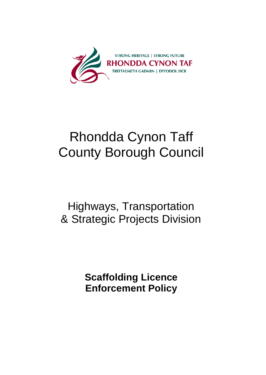

# Rhondda Cynon Taff County Borough Council

# Highways, Transportation & Strategic Projects Division

**Scaffolding Licence Enforcement Policy**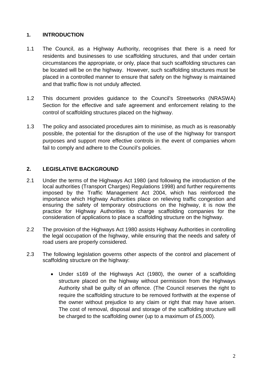# **1. INTRODUCTION**

- 1.1 The Council, as a Highway Authority, recognises that there is a need for residents and businesses to use scaffolding structures, and that under certain circumstances the appropriate, or only, place that such scaffolding structures can be located will be on the highway. However, such scaffolding structures must be placed in a controlled manner to ensure that safety on the highway is maintained and that traffic flow is not unduly affected.
- 1.2 This document provides guidance to the Council's Streetworks (NRASWA) Section for the effective and safe agreement and enforcement relating to the control of scaffolding structures placed on the highway.
- 1.3 The policy and associated procedures aim to minimise, as much as is reasonably possible, the potential for the disruption of the use of the highway for transport purposes and support more effective controls in the event of companies whom fail to comply and adhere to the Council's policies.

# **2. LEGISLATIVE BACKGROUND**

- 2.1 Under the terms of the Highways Act 1980 (and following the introduction of the local authorities (Transport Charges) Regulations 1998) and further requirements imposed by the Traffic Management Act 2004, which has reinforced the importance which Highway Authorities place on relieving traffic congestion and ensuring the safety of temporary obstructions on the highway, it is now the practice for Highway Authorities to charge scaffolding companies for the consideration of applications to place a scaffolding structure on the highway.
- 2.2 The provision of the Highways Act 1980 assists Highway Authorities in controlling the legal occupation of the highway, while ensuring that the needs and safety of road users are properly considered.
- 2.3 The following legislation governs other aspects of the control and placement of scaffolding structure on the highway:
	- Under s169 of the Highways Act (1980), the owner of a scaffolding structure placed on the highway without permission from the Highways Authority shall be guilty of an offence. (The Council reserves the right to require the scaffolding structure to be removed forthwith at the expense of the owner without prejudice to any claim or right that may have arisen. The cost of removal, disposal and storage of the scaffolding structure will be charged to the scaffolding owner (up to a maximum of £5,000).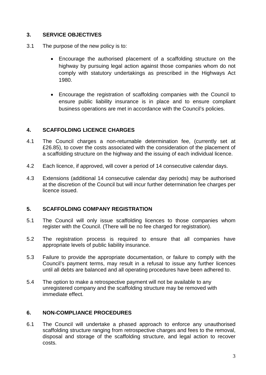# **3. SERVICE OBJECTIVES**

- 3.1 The purpose of the new policy is to:
	- Encourage the authorised placement of a scaffolding structure on the highway by pursuing legal action against those companies whom do not comply with statutory undertakings as prescribed in the Highways Act 1980.
	- Encourage the registration of scaffolding companies with the Council to ensure public liability insurance is in place and to ensure compliant business operations are met in accordance with the Council's policies.

#### **4. SCAFFOLDING LICENCE CHARGES**

- 4.1 The Council charges a non-returnable determination fee, (currently set at £26.85), to cover the costs associated with the consideration of the placement of a scaffolding structure on the highway and the issuing of each individual licence.
- 4.2 Each licence, if approved, will cover a period of 14 consecutive calendar days.
- 4.3 Extensions (additional 14 consecutive calendar day periods) may be authorised at the discretion of the Council but will incur further determination fee charges per licence issued.

#### **5. SCAFFOLDING COMPANY REGISTRATION**

- 5.1 The Council will only issue scaffolding licences to those companies whom register with the Council. (There will be no fee charged for registration).
- 5.2 The registration process is required to ensure that all companies have appropriate levels of public liability insurance.
- 5.3 Failure to provide the appropriate documentation, or failure to comply with the Council's payment terms, may result in a refusal to issue any further licences until all debts are balanced and all operating procedures have been adhered to.
- 5.4 The option to make a retrospective payment will not be available to any unregistered company and the scaffolding structure may be removed with immediate effect.

#### **6. NON-COMPLIANCE PROCEDURES**

6.1 The Council will undertake a phased approach to enforce any unauthorised scaffolding structure ranging from retrospective charges and fees to the removal, disposal and storage of the scaffolding structure, and legal action to recover costs.